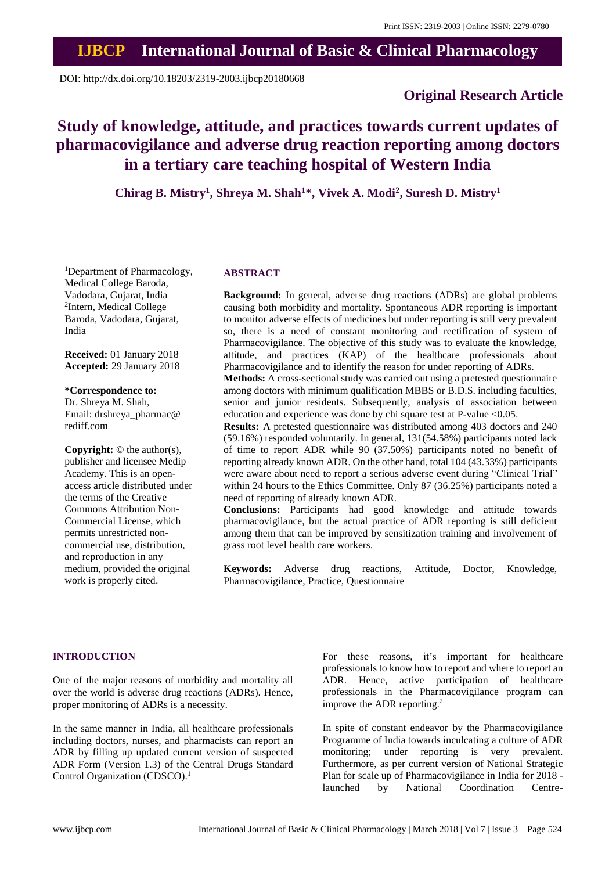# **IJBCP International Journal of Basic & Clinical Pharmacology**

DOI: http://dx.doi.org/10.18203/2319-2003.ijbcp20180668

# **Original Research Article**

# **Study of knowledge, attitude, and practices towards current updates of pharmacovigilance and adverse drug reaction reporting among doctors in a tertiary care teaching hospital of Western India**

**Chirag B. Mistry<sup>1</sup> , Shreya M. Shah<sup>1</sup>\*, Vivek A. Modi<sup>2</sup> , Suresh D. Mistry<sup>1</sup>**

<sup>1</sup>Department of Pharmacology, Medical College Baroda, Vadodara, Gujarat, India 2 Intern, Medical College Baroda, Vadodara, Gujarat, India

**Received:** 01 January 2018 **Accepted:** 29 January 2018

**\*Correspondence to:**

Dr. Shreya M. Shah, Email: drshreya\_pharmac@ rediff.com

**Copyright:** © the author(s), publisher and licensee Medip Academy. This is an openaccess article distributed under the terms of the Creative Commons Attribution Non-Commercial License, which permits unrestricted noncommercial use, distribution, and reproduction in any medium, provided the original work is properly cited.

#### **ABSTRACT**

**Background:** In general, adverse drug reactions (ADRs) are global problems causing both morbidity and mortality. Spontaneous ADR reporting is important to monitor adverse effects of medicines but under reporting is still very prevalent so, there is a need of constant monitoring and rectification of system of Pharmacovigilance. The objective of this study was to evaluate the knowledge, attitude, and practices (KAP) of the healthcare professionals about Pharmacovigilance and to identify the reason for under reporting of ADRs.

**Methods:** A cross-sectional study was carried out using a pretested questionnaire among doctors with minimum qualification MBBS or B.D.S. including faculties, senior and junior residents. Subsequently, analysis of association between education and experience was done by chi square test at P-value <0.05.

**Results:** A pretested questionnaire was distributed among 403 doctors and 240 (59.16%) responded voluntarily. In general, 131(54.58%) participants noted lack of time to report ADR while 90 (37.50%) participants noted no benefit of reporting already known ADR. On the other hand, total 104 (43.33%) participants were aware about need to report a serious adverse event during "Clinical Trial" within 24 hours to the Ethics Committee. Only 87 (36.25%) participants noted a need of reporting of already known ADR.

**Conclusions:** Participants had good knowledge and attitude towards pharmacovigilance, but the actual practice of ADR reporting is still deficient among them that can be improved by sensitization training and involvement of grass root level health care workers.

**Keywords:** Adverse drug reactions, Attitude, Doctor, Knowledge, Pharmacovigilance, Practice, Questionnaire

#### **INTRODUCTION**

One of the major reasons of morbidity and mortality all over the world is adverse drug reactions (ADRs). Hence, proper monitoring of ADRs is a necessity.

In the same manner in India, all healthcare professionals including doctors, nurses, and pharmacists can report an ADR by filling up updated current version of suspected ADR Form (Version 1.3) of the Central Drugs Standard Control Organization (CDSCO). 1

For these reasons, it's important for healthcare professionals to know how to report and where to report an ADR. Hence, active participation of healthcare professionals in the Pharmacovigilance program can improve the ADR reporting. 2

In spite of constant endeavor by the Pharmacovigilance Programme of India towards inculcating a culture of ADR monitoring; under reporting is very prevalent. Furthermore, as per current version of National Strategic Plan for scale up of Pharmacovigilance in India for 2018 launched by National Coordination Centre-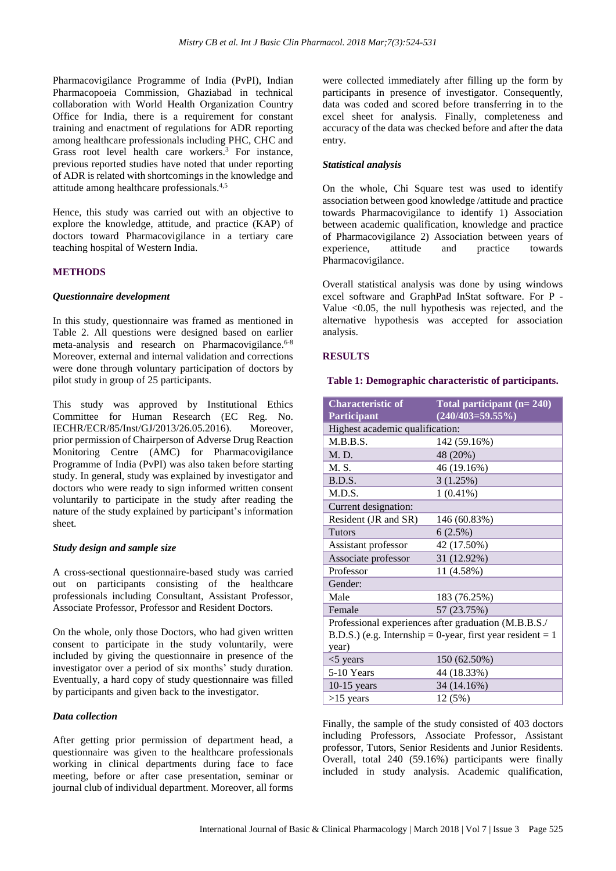Pharmacovigilance Programme of India (PvPI), Indian Pharmacopoeia Commission, Ghaziabad in technical collaboration with World Health Organization Country Office for India, there is a requirement for constant training and enactment of regulations for ADR reporting among healthcare professionals including PHC, CHC and Grass root level health care workers. <sup>3</sup> For instance, previous reported studies have noted that under reporting of ADR is related with shortcomings in the knowledge and attitude among healthcare professionals. 4,5

Hence, this study was carried out with an objective to explore the knowledge, attitude, and practice (KAP) of doctors toward Pharmacovigilance in a tertiary care teaching hospital of Western India.

#### **METHODS**

#### *Questionnaire development*

In this study, questionnaire was framed as mentioned in Table 2. All questions were designed based on earlier meta-analysis and research on Pharmacovigilance. 6-8 Moreover, external and internal validation and corrections were done through voluntary participation of doctors by pilot study in group of 25 participants.

This study was approved by Institutional Ethics Committee for Human Research (EC Reg. No. IECHR/ECR/85/Inst/GJ/2013/26.05.2016). Moreover, prior permission of Chairperson of Adverse Drug Reaction Monitoring Centre (AMC) for Pharmacovigilance Programme of India (PvPI) was also taken before starting study. In general, study was explained by investigator and doctors who were ready to sign informed written consent voluntarily to participate in the study after reading the nature of the study explained by participant's information sheet.

#### *Study design and sample size*

A cross-sectional questionnaire-based study was carried out on participants consisting of the healthcare professionals including Consultant, Assistant Professor, Associate Professor, Professor and Resident Doctors.

On the whole, only those Doctors, who had given written consent to participate in the study voluntarily, were included by giving the questionnaire in presence of the investigator over a period of six months' study duration. Eventually, a hard copy of study questionnaire was filled by participants and given back to the investigator.

#### *Data collection*

After getting prior permission of department head, a questionnaire was given to the healthcare professionals working in clinical departments during face to face meeting, before or after case presentation, seminar or journal club of individual department. Moreover, all forms were collected immediately after filling up the form by participants in presence of investigator. Consequently, data was coded and scored before transferring in to the excel sheet for analysis. Finally, completeness and accuracy of the data was checked before and after the data entry.

#### *Statistical analysis*

On the whole, Chi Square test was used to identify association between good knowledge /attitude and practice towards Pharmacovigilance to identify 1) Association between academic qualification, knowledge and practice of Pharmacovigilance 2) Association between years of experience, attitude and practice towards Pharmacovigilance.

Overall statistical analysis was done by using windows excel software and GraphPad InStat software. For P - Value <0.05, the null hypothesis was rejected, and the alternative hypothesis was accepted for association analysis.

#### **RESULTS**

### **Table 1: Demographic characteristic of participants.**

| <b>Characteristic of</b>                                   | Total participant $(n=240)$ |  |  |  |  |
|------------------------------------------------------------|-----------------------------|--|--|--|--|
| Participant                                                | $(240/403=59.55\%)$         |  |  |  |  |
| Highest academic qualification:                            |                             |  |  |  |  |
| M.B.B.S.                                                   | 142 (59.16%)                |  |  |  |  |
| M. D.                                                      | 48 (20%)                    |  |  |  |  |
| M. S.                                                      | 46 (19.16%)                 |  |  |  |  |
| B.D.S.                                                     | 3(1.25%)                    |  |  |  |  |
| M.D.S.                                                     | $1(0.41\%)$                 |  |  |  |  |
| Current designation:                                       |                             |  |  |  |  |
| Resident (JR and SR)                                       | 146 (60.83%)                |  |  |  |  |
| <b>Tutors</b>                                              | 6(2.5%)                     |  |  |  |  |
| Assistant professor                                        | 42 (17.50%)                 |  |  |  |  |
| Associate professor                                        | 31 (12.92%)                 |  |  |  |  |
| Professor                                                  | 11 (4.58%)                  |  |  |  |  |
| Gender:                                                    |                             |  |  |  |  |
| Male                                                       | 183 (76.25%)                |  |  |  |  |
| Female                                                     | 57 (23.75%)                 |  |  |  |  |
| Professional experiences after graduation (M.B.B.S./       |                             |  |  |  |  |
| B.D.S.) (e.g. Internship = 0-year, first year resident = 1 |                             |  |  |  |  |
| year)                                                      |                             |  |  |  |  |
| $<$ 5 years                                                | 150 (62.50%)                |  |  |  |  |
| 5-10 Years                                                 | 44 (18.33%)                 |  |  |  |  |
| $10-15$ years                                              | 34 (14.16%)                 |  |  |  |  |
| $>15$ years                                                | 12 (5%)                     |  |  |  |  |

Finally, the sample of the study consisted of 403 doctors including Professors, Associate Professor, Assistant professor, Tutors, Senior Residents and Junior Residents. Overall, total 240 (59.16%) participants were finally included in study analysis. Academic qualification,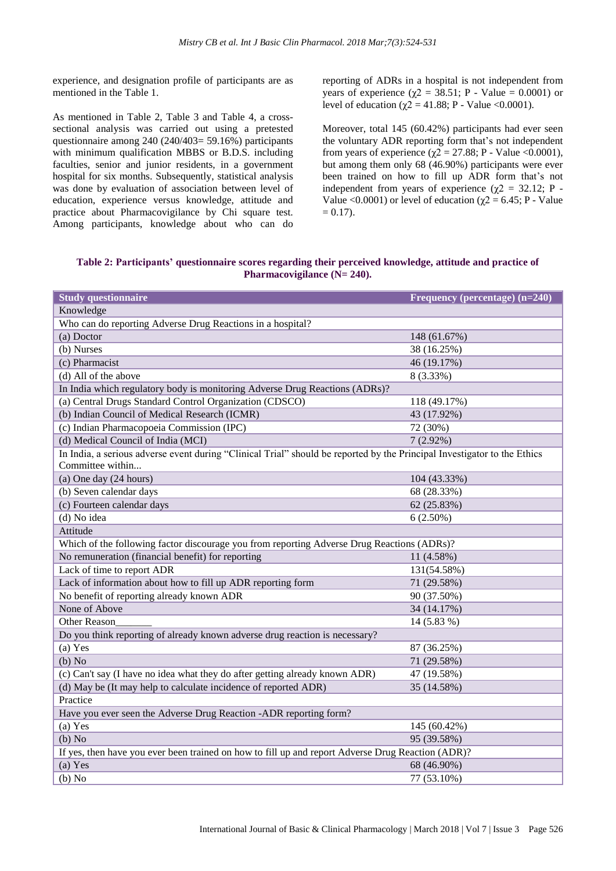experience, and designation profile of participants are as mentioned in the Table 1.

As mentioned in Table 2, Table 3 and Table 4, a crosssectional analysis was carried out using a pretested questionnaire among 240 (240/403= 59.16%) participants with minimum qualification MBBS or B.D.S. including faculties, senior and junior residents, in a government hospital for six months. Subsequently, statistical analysis was done by evaluation of association between level of education, experience versus knowledge, attitude and practice about Pharmacovigilance by Chi square test. Among participants, knowledge about who can do reporting of ADRs in a hospital is not independent from years of experience ( $\chi$ 2 = 38.51; P - Value = 0.0001) or level of education ( $χ$ 2 = 41.88; P - Value <0.0001).

Moreover, total 145 (60.42%) participants had ever seen the voluntary ADR reporting form that's not independent from years of experience ( $\chi$ 2 = 27.88; P - Value <0.0001), but among them only 68 (46.90%) participants were ever been trained on how to fill up ADR form that's not independent from years of experience ( $\chi$ 2 = 32.12; P -Value <0.0001) or level of education ( $\chi$ 2 = 6.45; P - Value  $= 0.17$ .

**Table 2: Participants' questionnaire scores regarding their perceived knowledge, attitude and practice of Pharmacovigilance (N= 240).**

| <b>Study questionnaire</b>                                                                                                                   | Frequency (percentage) (n=240) |  |  |  |  |  |  |
|----------------------------------------------------------------------------------------------------------------------------------------------|--------------------------------|--|--|--|--|--|--|
| Knowledge                                                                                                                                    |                                |  |  |  |  |  |  |
| Who can do reporting Adverse Drug Reactions in a hospital?                                                                                   |                                |  |  |  |  |  |  |
| (a) Doctor                                                                                                                                   | 148 (61.67%)                   |  |  |  |  |  |  |
| (b) Nurses                                                                                                                                   | 38 (16.25%)                    |  |  |  |  |  |  |
| (c) Pharmacist                                                                                                                               | 46 (19.17%)                    |  |  |  |  |  |  |
| (d) All of the above                                                                                                                         | 8 (3.33%)                      |  |  |  |  |  |  |
| In India which regulatory body is monitoring Adverse Drug Reactions (ADRs)?                                                                  |                                |  |  |  |  |  |  |
| (a) Central Drugs Standard Control Organization (CDSCO)                                                                                      | 118 (49.17%)                   |  |  |  |  |  |  |
| (b) Indian Council of Medical Research (ICMR)                                                                                                | 43 (17.92%)                    |  |  |  |  |  |  |
| (c) Indian Pharmacopoeia Commission (IPC)                                                                                                    | 72 (30%)                       |  |  |  |  |  |  |
| (d) Medical Council of India (MCI)                                                                                                           | $7(2.92\%)$                    |  |  |  |  |  |  |
| In India, a serious adverse event during "Clinical Trial" should be reported by the Principal Investigator to the Ethics<br>Committee within |                                |  |  |  |  |  |  |
| (a) One day $(24$ hours)                                                                                                                     | 104 (43.33%)                   |  |  |  |  |  |  |
| (b) Seven calendar days                                                                                                                      | 68 (28.33%)                    |  |  |  |  |  |  |
| (c) Fourteen calendar days                                                                                                                   | 62 (25.83%)                    |  |  |  |  |  |  |
| (d) No idea                                                                                                                                  | $6(2.50\%)$                    |  |  |  |  |  |  |
| Attitude                                                                                                                                     |                                |  |  |  |  |  |  |
| Which of the following factor discourage you from reporting Adverse Drug Reactions (ADRs)?                                                   |                                |  |  |  |  |  |  |
| No remuneration (financial benefit) for reporting                                                                                            | 11 (4.58%)                     |  |  |  |  |  |  |
| Lack of time to report ADR                                                                                                                   | 131(54.58%)                    |  |  |  |  |  |  |
| Lack of information about how to fill up ADR reporting form                                                                                  | 71 (29.58%)                    |  |  |  |  |  |  |
| No benefit of reporting already known ADR                                                                                                    | 90 (37.50%)                    |  |  |  |  |  |  |
| None of Above                                                                                                                                | 34 (14.17%)                    |  |  |  |  |  |  |
| Other Reason                                                                                                                                 | 14 (5.83 %)                    |  |  |  |  |  |  |
| Do you think reporting of already known adverse drug reaction is necessary?                                                                  |                                |  |  |  |  |  |  |
| (a) Yes                                                                                                                                      | 87 (36.25%)                    |  |  |  |  |  |  |
| (b) No                                                                                                                                       | 71 (29.58%)                    |  |  |  |  |  |  |
| (c) Can't say (I have no idea what they do after getting already known ADR)                                                                  | 47 (19.58%)                    |  |  |  |  |  |  |
| (d) May be (It may help to calculate incidence of reported ADR)                                                                              | 35 (14.58%)                    |  |  |  |  |  |  |
| Practice                                                                                                                                     |                                |  |  |  |  |  |  |
| Have you ever seen the Adverse Drug Reaction -ADR reporting form?                                                                            |                                |  |  |  |  |  |  |
| (a) Yes                                                                                                                                      | 145 (60.42%)                   |  |  |  |  |  |  |
| (b) No                                                                                                                                       | 95 (39.58%)                    |  |  |  |  |  |  |
| If yes, then have you ever been trained on how to fill up and report Adverse Drug Reaction (ADR)?                                            |                                |  |  |  |  |  |  |
| $(a)$ Yes                                                                                                                                    | 68 (46.90%)                    |  |  |  |  |  |  |
| (b) No                                                                                                                                       | 77 (53.10%)                    |  |  |  |  |  |  |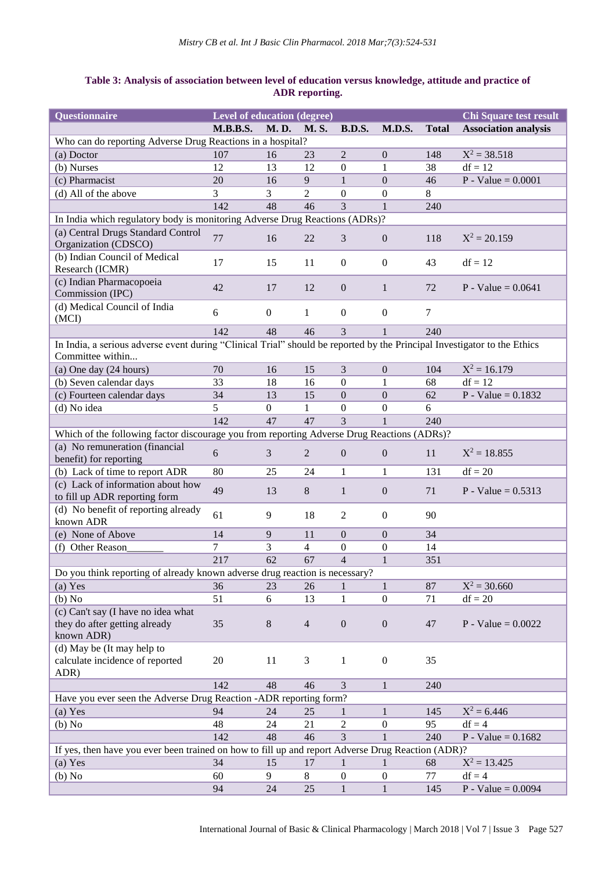# **Table 3: Analysis of association between level of education versus knowledge, attitude and practice of ADR reporting.**

| Questionnaire                                                                                                                                | <b>Level of education (degree)</b> |                |                |                  |                  |              | <b>Chi Square test result</b> |  |  |  |
|----------------------------------------------------------------------------------------------------------------------------------------------|------------------------------------|----------------|----------------|------------------|------------------|--------------|-------------------------------|--|--|--|
|                                                                                                                                              | <b>M.B.B.S.</b>                    | <b>M.D.</b>    | <b>M.S.</b>    | <b>B.D.S.</b>    | <b>M.D.S.</b>    | <b>Total</b> | <b>Association analysis</b>   |  |  |  |
| Who can do reporting Adverse Drug Reactions in a hospital?                                                                                   |                                    |                |                |                  |                  |              |                               |  |  |  |
| (a) Doctor                                                                                                                                   | 107                                | 16             | 23             | $\overline{2}$   | $\theta$         | 148          | $X^2 = 38.518$                |  |  |  |
| (b) Nurses                                                                                                                                   | 12                                 | 13             | 12             | $\boldsymbol{0}$ | $\mathbf{1}$     | 38           | $df = 12$                     |  |  |  |
| (c) Pharmacist                                                                                                                               | 20                                 | 16             | 9              | $\mathbf{1}$     | $\overline{0}$   | 46           | $P - Value = 0.0001$          |  |  |  |
| (d) All of the above                                                                                                                         | 3                                  | 3              | $\overline{2}$ | $\boldsymbol{0}$ | $\boldsymbol{0}$ | 8            |                               |  |  |  |
|                                                                                                                                              | 142                                | 48             | 46             | 3                | $\mathbf{1}$     | 240          |                               |  |  |  |
| In India which regulatory body is monitoring Adverse Drug Reactions (ADRs)?                                                                  |                                    |                |                |                  |                  |              |                               |  |  |  |
| (a) Central Drugs Standard Control<br>Organization (CDSCO)                                                                                   | 77                                 | 16             | 22             | 3                | $\mathbf{0}$     | 118          | $X^2 = 20.159$                |  |  |  |
| (b) Indian Council of Medical<br>Research (ICMR)                                                                                             | 17                                 | 15             | 11             | $\boldsymbol{0}$ | $\mathbf{0}$     | 43           | $df = 12$                     |  |  |  |
| (c) Indian Pharmacopoeia<br>Commission (IPC)                                                                                                 | 42                                 | 17             | 12             | $\boldsymbol{0}$ | $\mathbf{1}$     | 72           | P - Value = $0.0641$          |  |  |  |
| (d) Medical Council of India<br>(MCI)                                                                                                        | 6                                  | $\overline{0}$ | $\mathbf{1}$   | $\mathbf{0}$     | $\boldsymbol{0}$ | 7            |                               |  |  |  |
|                                                                                                                                              | 142                                | 48             | 46             | 3                | $\mathbf{1}$     | 240          |                               |  |  |  |
| In India, a serious adverse event during "Clinical Trial" should be reported by the Principal Investigator to the Ethics<br>Committee within |                                    |                |                |                  |                  |              |                               |  |  |  |
| (a) One day (24 hours)                                                                                                                       | 70                                 | 16             | 15             | 3                | $\boldsymbol{0}$ | 104          | $X^2 = 16.179$                |  |  |  |
| (b) Seven calendar days                                                                                                                      | 33                                 | 18             | 16             | $\boldsymbol{0}$ | 1                | 68           | $df = 12$                     |  |  |  |
| (c) Fourteen calendar days                                                                                                                   | 34                                 | 13             | 15             | $\boldsymbol{0}$ | $\boldsymbol{0}$ | 62           | $P - Value = 0.1832$          |  |  |  |
| (d) No idea                                                                                                                                  | 5                                  | $\mathbf{0}$   | $\mathbf{1}$   | $\boldsymbol{0}$ | $\boldsymbol{0}$ | 6            |                               |  |  |  |
|                                                                                                                                              | 142                                | 47             | 47             | 3                | $\mathbf{1}$     | 240          |                               |  |  |  |
| Which of the following factor discourage you from reporting Adverse Drug Reactions (ADRs)?                                                   |                                    |                |                |                  |                  |              |                               |  |  |  |
| (a) No remuneration (financial<br>benefit) for reporting                                                                                     | 6                                  | 3              | $\overline{2}$ | $\boldsymbol{0}$ | $\boldsymbol{0}$ | 11           | $X^2 = 18.855$                |  |  |  |
| (b) Lack of time to report ADR                                                                                                               | 80                                 | 25             | 24             | $\mathbf{1}$     | $\mathbf{1}$     | 131          | $df = 20$                     |  |  |  |
| (c) Lack of information about how<br>to fill up ADR reporting form                                                                           | 49                                 | 13             | 8              | $\mathbf{1}$     | $\boldsymbol{0}$ | 71           | P - Value = $0.5313$          |  |  |  |
| (d) No benefit of reporting already<br>known ADR                                                                                             | 61                                 | 9              | 18             | $\overline{c}$   | $\boldsymbol{0}$ | 90           |                               |  |  |  |
| (e) None of Above                                                                                                                            | 14                                 | 9              | 11             | $\overline{0}$   | $\boldsymbol{0}$ | 34           |                               |  |  |  |
| (f) Other Reason                                                                                                                             | 7                                  | 3              | $\overline{4}$ | $\boldsymbol{0}$ | $\boldsymbol{0}$ | 14           |                               |  |  |  |
|                                                                                                                                              | 217                                | 62             | 67             | $\overline{4}$   | $\mathbf{1}$     | 351          |                               |  |  |  |
| Do you think reporting of already known adverse drug reaction is necessary?                                                                  |                                    |                |                |                  |                  |              |                               |  |  |  |
| $(a)$ Yes                                                                                                                                    | 36                                 | 23             | 26             | $\mathbf{1}$     | $\mathbf{1}$     | 87           | $X^2 = 30.660$                |  |  |  |
| (b) No                                                                                                                                       | 51                                 | 6              | 13             | 1                | $\boldsymbol{0}$ | 71           | $df = 20$                     |  |  |  |
| (c) Can't say (I have no idea what<br>they do after getting already<br>known ADR)                                                            | 35                                 | 8              | $\overline{4}$ | $\boldsymbol{0}$ | $\boldsymbol{0}$ | 47           | $P - Value = 0.0022$          |  |  |  |
| (d) May be (It may help to<br>calculate incidence of reported<br>ADR)                                                                        | 20                                 | 11             | 3              | 1                | $\boldsymbol{0}$ | 35           |                               |  |  |  |
|                                                                                                                                              | 142                                | 48             | 46             | 3                | $\mathbf{1}$     | 240          |                               |  |  |  |
| Have you ever seen the Adverse Drug Reaction -ADR reporting form?                                                                            |                                    |                |                |                  |                  |              |                               |  |  |  |
| (a) Yes                                                                                                                                      | 94                                 | 24             | 25             | 1                | $\mathbf{1}$     | 145          | $X^2 = 6.446$                 |  |  |  |
| (b) No                                                                                                                                       | 48                                 | 24             | 21             | 2                | $\boldsymbol{0}$ | 95           | $df = 4$                      |  |  |  |
|                                                                                                                                              | 142                                | 48             | 46             | 3                | $\mathbf{1}$     | 240          | $P - Value = 0.1682$          |  |  |  |
| If yes, then have you ever been trained on how to fill up and report Adverse Drug Reaction (ADR)?                                            |                                    |                |                |                  |                  |              |                               |  |  |  |
| (a) Yes                                                                                                                                      | 34                                 | 15             | 17             | 1                | $\mathbf{1}$     | 68           | $X^2 = 13.425$                |  |  |  |
| (b) No                                                                                                                                       | 60                                 | 9              | 8              | $\boldsymbol{0}$ | $\boldsymbol{0}$ | 77           | $df = 4$                      |  |  |  |
|                                                                                                                                              | 94                                 | 24             | 25             | $\mathbf{1}$     | $\mathbf{1}$     | 145          | $P - Value = 0.0094$          |  |  |  |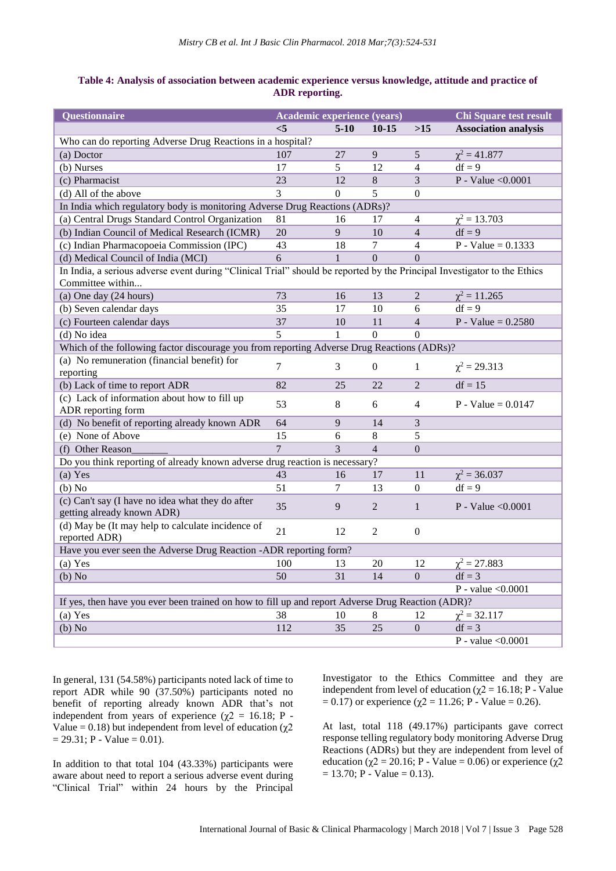# **Table 4: Analysis of association between academic experience versus knowledge, attitude and practice of ADR reporting.**

| Questionnaire                                                                                                            | Academic experience (years) |              |                  |                  | <b>Chi Square test result</b> |  |  |  |
|--------------------------------------------------------------------------------------------------------------------------|-----------------------------|--------------|------------------|------------------|-------------------------------|--|--|--|
|                                                                                                                          | $\leq$ 5                    | $5-10$       | $10-15$          | $>15$            | <b>Association analysis</b>   |  |  |  |
| Who can do reporting Adverse Drug Reactions in a hospital?                                                               |                             |              |                  |                  |                               |  |  |  |
| (a) Doctor                                                                                                               | 107                         | 27           | 9                | 5                | $\chi^2 = 41.877$             |  |  |  |
| (b) Nurses                                                                                                               | 17                          | 5            | 12               | $\overline{4}$   | $df = 9$                      |  |  |  |
| (c) Pharmacist                                                                                                           | 23                          | 12           | $\,8\,$          | 3                | P - Value < $0.0001$          |  |  |  |
| (d) All of the above                                                                                                     | 3                           | $\mathbf{0}$ | 5                | $\boldsymbol{0}$ |                               |  |  |  |
| In India which regulatory body is monitoring Adverse Drug Reactions (ADRs)?                                              |                             |              |                  |                  |                               |  |  |  |
| (a) Central Drugs Standard Control Organization                                                                          | 81                          | 16           | 17               | 4                | $\chi^2 = 13.703$             |  |  |  |
| (b) Indian Council of Medical Research (ICMR)                                                                            | 20                          | 9            | 10               | $\overline{4}$   | $df = 9$                      |  |  |  |
| (c) Indian Pharmacopoeia Commission (IPC)                                                                                | 43                          | 18           | $\tau$           | 4                | $P - Value = 0.1333$          |  |  |  |
| (d) Medical Council of India (MCI)                                                                                       | 6                           | $\mathbf{1}$ | $\mathbf{0}$     | $\theta$         |                               |  |  |  |
| In India, a serious adverse event during "Clinical Trial" should be reported by the Principal Investigator to the Ethics |                             |              |                  |                  |                               |  |  |  |
| Committee within                                                                                                         |                             |              |                  |                  |                               |  |  |  |
| (a) One day (24 hours)                                                                                                   | 73                          | 16           | 13               | $\mathbf{2}$     | $\chi^2 = 11.265$             |  |  |  |
| (b) Seven calendar days                                                                                                  | 35                          | 17           | 10               | 6                | $df = 9$                      |  |  |  |
| (c) Fourteen calendar days                                                                                               | 37                          | 10           | 11               | $\overline{4}$   | $P - Value = 0.2580$          |  |  |  |
| (d) No idea                                                                                                              | 5                           | 1            | $\overline{0}$   | $\theta$         |                               |  |  |  |
| Which of the following factor discourage you from reporting Adverse Drug Reactions (ADRs)?                               |                             |              |                  |                  |                               |  |  |  |
| (a) No remuneration (financial benefit) for                                                                              | 7                           | 3            | $\boldsymbol{0}$ |                  |                               |  |  |  |
| reporting                                                                                                                |                             |              |                  | 1                | $\chi^2 = 29.313$             |  |  |  |
| (b) Lack of time to report ADR                                                                                           | 82                          | 25           | 22               | $\overline{2}$   | $df = 15$                     |  |  |  |
| (c) Lack of information about how to fill up                                                                             | 53                          | 8            | 6                | $\overline{4}$   | $P - Value = 0.0147$          |  |  |  |
| ADR reporting form                                                                                                       |                             |              |                  |                  |                               |  |  |  |
| (d) No benefit of reporting already known ADR                                                                            | 64                          | 9            | 14               | 3                |                               |  |  |  |
| (e) None of Above                                                                                                        | 15                          | 6            | $\,8\,$          | 5                |                               |  |  |  |
| (f) Other Reason                                                                                                         | $\overline{7}$              | 3            | $\overline{4}$   | $\boldsymbol{0}$ |                               |  |  |  |
| Do you think reporting of already known adverse drug reaction is necessary?                                              |                             |              |                  |                  |                               |  |  |  |
| (a) Yes                                                                                                                  | 43                          | 16           | 17               | 11               | $\chi^2 = 36.037$             |  |  |  |
| (b) No                                                                                                                   | 51                          | 7            | 13               | $\overline{0}$   | $df = 9$                      |  |  |  |
| (c) Can't say (I have no idea what they do after                                                                         | 35                          | 9            | $\overline{2}$   | $\mathbf{1}$     | P - Value $< 0.0001$          |  |  |  |
| getting already known ADR)                                                                                               |                             |              |                  |                  |                               |  |  |  |
| (d) May be (It may help to calculate incidence of                                                                        | 21                          | 12           | $\overline{2}$   | $\boldsymbol{0}$ |                               |  |  |  |
| reported ADR)                                                                                                            |                             |              |                  |                  |                               |  |  |  |
| Have you ever seen the Adverse Drug Reaction -ADR reporting form?                                                        |                             |              |                  |                  |                               |  |  |  |
| $(a)$ Yes                                                                                                                | 100                         | 13           | 20               | 12               | $\chi^2 = 27.883$             |  |  |  |
| (b) No                                                                                                                   | 50                          | 31           | 14               | $\boldsymbol{0}$ | $df = 3$                      |  |  |  |
|                                                                                                                          |                             |              |                  |                  | P - value $< 0.0001$          |  |  |  |
| If yes, then have you ever been trained on how to fill up and report Adverse Drug Reaction (ADR)?                        |                             |              |                  |                  |                               |  |  |  |
| (a) Yes                                                                                                                  | 38                          | 10           | 8                | 12               | $\chi^2 = 32.117$             |  |  |  |
| (b) No                                                                                                                   | 112                         | 35           | 25               | $\boldsymbol{0}$ | $df = 3$                      |  |  |  |
|                                                                                                                          |                             |              |                  |                  | P - value $< 0.0001$          |  |  |  |

In general, 131 (54.58%) participants noted lack of time to report ADR while 90 (37.50%) participants noted no benefit of reporting already known ADR that's not independent from years of experience ( $\chi$ 2 = 16.18; P -Value = 0.18) but independent from level of education ( $\chi$ 2  $= 29.31$ ; P - Value  $= 0.01$ ).

In addition to that total 104 (43.33%) participants were aware about need to report a serious adverse event during "Clinical Trial" within 24 hours by the Principal Investigator to the Ethics Committee and they are independent from level of education ( $\chi$ 2 = 16.18; P - Value  $= 0.17$ ) or experience (χ2 = 11.26; P - Value = 0.26).

At last, total 118 (49.17%) participants gave correct response telling regulatory body monitoring Adverse Drug Reactions (ADRs) but they are independent from level of education ( $\chi$ 2 = 20.16; P - Value = 0.06) or experience ( $\chi$ 2  $= 13.70$ ; P - Value  $= 0.13$ ).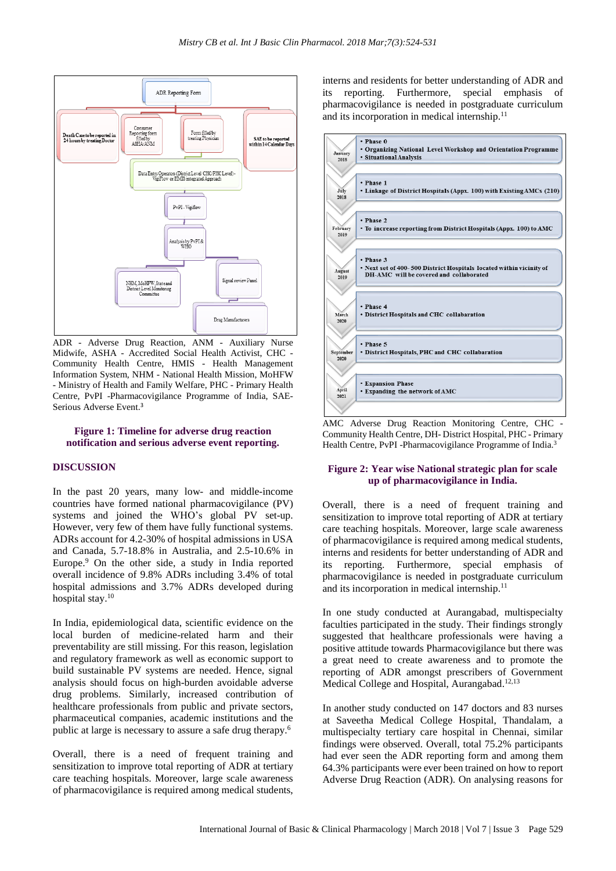

ADR - Adverse Drug Reaction, ANM - Auxiliary Nurse Midwife, ASHA - Accredited Social Health Activist, CHC - Community Health Centre, HMIS - Health Management Information System, NHM - National Health Mission, MoHFW - Ministry of Health and Family Welfare, PHC - Primary Health Centre, PvPI -Pharmacovigilance Programme of India, SAE-Serious Adverse Event. 3

#### **Figure 1: Timeline for adverse drug reaction notification and serious adverse event reporting.**

#### **DISCUSSION**

In the past 20 years, many low- and middle-income countries have formed national pharmacovigilance (PV) systems and joined the WHO's global PV set-up. However, very few of them have fully functional systems. ADRs account for 4.2-30% of hospital admissions in USA and Canada, 5.7-18.8% in Australia, and 2.5-10.6% in Europe. <sup>9</sup> On the other side, a study in India reported overall incidence of 9.8% ADRs including 3.4% of total hospital admissions and 3.7% ADRs developed during hospital stay.<sup>10</sup>

In India, epidemiological data, scientific evidence on the local burden of medicine-related harm and their preventability are still missing. For this reason, legislation and regulatory framework as well as economic support to build sustainable PV systems are needed. Hence, signal analysis should focus on high-burden avoidable adverse drug problems. Similarly, increased contribution of healthcare professionals from public and private sectors, pharmaceutical companies, academic institutions and the public at large is necessary to assure a safe drug therapy. 6

Overall, there is a need of frequent training and sensitization to improve total reporting of ADR at tertiary care teaching hospitals. Moreover, large scale awareness of pharmacovigilance is required among medical students, interns and residents for better understanding of ADR and reporting. Furthermore, special emphasis of pharmacovigilance is needed in postgraduate curriculum and its incorporation in medical internship. 11



AMC Adverse Drug Reaction Monitoring Centre, CHC - Community Health Centre, DH- District Hospital, PHC - Primary Health Centre, PvPI -Pharmacovigilance Programme of India.<sup>3</sup>

#### **Figure 2: Year wise National strategic plan for scale up of pharmacovigilance in India.**

Overall, there is a need of frequent training and sensitization to improve total reporting of ADR at tertiary care teaching hospitals. Moreover, large scale awareness of pharmacovigilance is required among medical students, interns and residents for better understanding of ADR and its reporting. Furthermore, special emphasis of pharmacovigilance is needed in postgraduate curriculum and its incorporation in medical internship. 11

In one study conducted at Aurangabad, multispecialty faculties participated in the study. Their findings strongly suggested that healthcare professionals were having a positive attitude towards Pharmacovigilance but there was a great need to create awareness and to promote the reporting of ADR amongst prescribers of Government Medical College and Hospital, Aurangabad.<sup>12,13</sup>

In another study conducted on 147 doctors and 83 nurses at Saveetha Medical College Hospital, Thandalam, a multispecialty tertiary care hospital in Chennai, similar findings were observed. Overall, total 75.2% participants had ever seen the ADR reporting form and among them 64.3% participants were ever been trained on how to report Adverse Drug Reaction (ADR). On analysing reasons for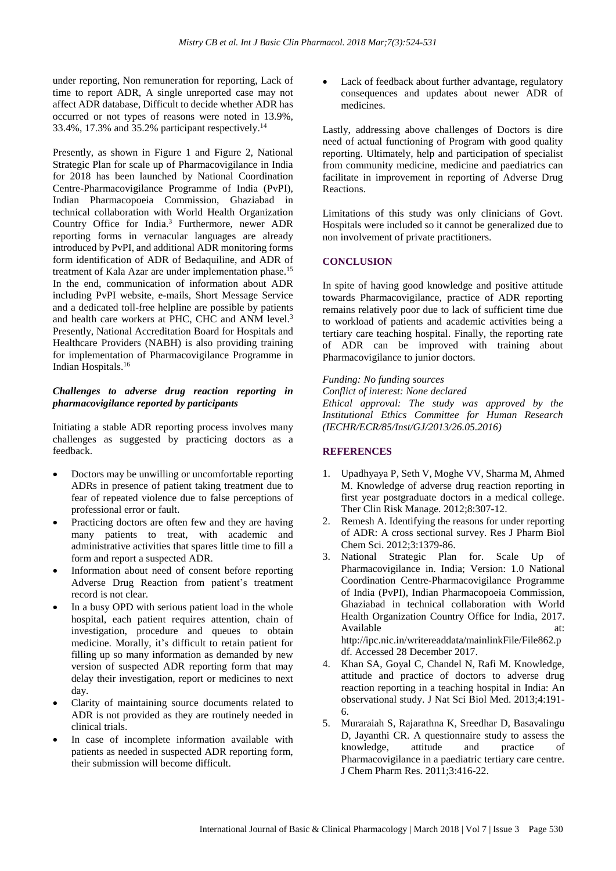under reporting, Non remuneration for reporting, Lack of time to report ADR, A single unreported case may not affect ADR database, Difficult to decide whether ADR has occurred or not types of reasons were noted in 13.9%, 33.4%, 17.3% and 35.2% participant respectively. 14

Presently, as shown in Figure 1 and Figure 2, National Strategic Plan for scale up of Pharmacovigilance in India for 2018 has been launched by National Coordination Centre-Pharmacovigilance Programme of India (PvPI), Indian Pharmacopoeia Commission, Ghaziabad in technical collaboration with World Health Organization Country Office for India.<sup>3</sup> Furthermore, newer ADR reporting forms in vernacular languages are already introduced by PvPI, and additional ADR monitoring forms form identification of ADR of Bedaquiline, and ADR of treatment of Kala Azar are under implementation phase.<sup>15</sup> In the end, communication of information about ADR including PvPI website, e-mails, Short Message Service and a dedicated toll-free helpline are possible by patients and health care workers at PHC, CHC and ANM level. 3 Presently, National Accreditation Board for Hospitals and Healthcare Providers (NABH) is also providing training for implementation of Pharmacovigilance Programme in Indian Hospitals. 16

#### *Challenges to adverse drug reaction reporting in pharmacovigilance reported by participants*

Initiating a stable ADR reporting process involves many challenges as suggested by practicing doctors as a feedback.

- Doctors may be unwilling or uncomfortable reporting ADRs in presence of patient taking treatment due to fear of repeated violence due to false perceptions of professional error or fault.
- Practicing doctors are often few and they are having many patients to treat, with academic and administrative activities that spares little time to fill a form and report a suspected ADR.
- Information about need of consent before reporting Adverse Drug Reaction from patient's treatment record is not clear.
- In a busy OPD with serious patient load in the whole hospital, each patient requires attention, chain of investigation, procedure and queues to obtain medicine. Morally, it's difficult to retain patient for filling up so many information as demanded by new version of suspected ADR reporting form that may delay their investigation, report or medicines to next day.
- Clarity of maintaining source documents related to ADR is not provided as they are routinely needed in clinical trials.
- In case of incomplete information available with patients as needed in suspected ADR reporting form, their submission will become difficult.

Lack of feedback about further advantage, regulatory consequences and updates about newer ADR of medicines.

Lastly, addressing above challenges of Doctors is dire need of actual functioning of Program with good quality reporting. Ultimately, help and participation of specialist from community medicine, medicine and paediatrics can facilitate in improvement in reporting of Adverse Drug Reactions.

Limitations of this study was only clinicians of Govt. Hospitals were included so it cannot be generalized due to non involvement of private practitioners.

# **CONCLUSION**

In spite of having good knowledge and positive attitude towards Pharmacovigilance, practice of ADR reporting remains relatively poor due to lack of sufficient time due to workload of patients and academic activities being a tertiary care teaching hospital. Finally, the reporting rate of ADR can be improved with training about Pharmacovigilance to junior doctors.

*Funding: No funding sources Conflict of interest: None declared Ethical approval: The study was approved by the Institutional Ethics Committee for Human Research (IECHR/ECR/85/Inst/GJ/2013/26.05.2016)*

# **REFERENCES**

- 1. Upadhyaya P, Seth V, Moghe VV, Sharma M, Ahmed M. Knowledge of adverse drug reaction reporting in first year postgraduate doctors in a medical college. Ther Clin Risk Manage. 2012;8:307-12.
- 2. Remesh A. Identifying the reasons for under reporting of ADR: A cross sectional survey. Res J Pharm Biol Chem Sci. 2012;3:1379-86.
- 3. National Strategic Plan for. Scale Up of Pharmacovigilance in. India; Version: 1.0 National Coordination Centre-Pharmacovigilance Programme of India (PvPI), Indian Pharmacopoeia Commission, Ghaziabad in technical collaboration with World Health Organization Country Office for India, 2017. Available at: at: http://ipc.nic.in/writereaddata/mainlinkFile/File862.p df. Accessed 28 December 2017.
- 4. Khan SA, Goyal C, Chandel N, Rafi M. Knowledge, attitude and practice of doctors to adverse drug reaction reporting in a teaching hospital in India: An observational study. J Nat Sci Biol Med. 2013;4:191- 6.
- 5. Muraraiah S, Rajarathna K, Sreedhar D, Basavalingu D, Jayanthi CR. A questionnaire study to assess the knowledge, attitude and practice of Pharmacovigilance in a paediatric tertiary care centre. J Chem Pharm Res. 2011;3:416-22.